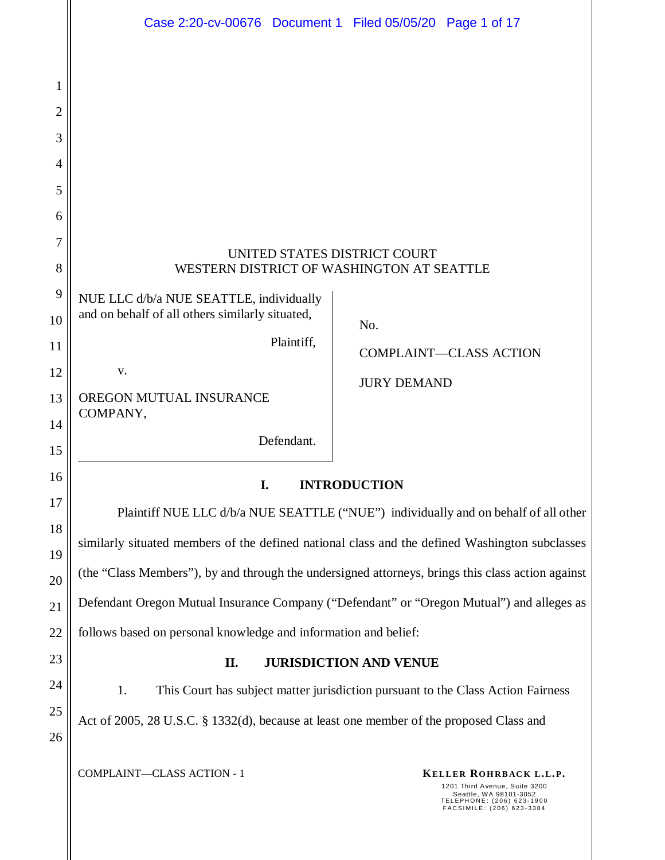|          | Case 2:20-cv-00676 Document 1 Filed 05/05/20 Page 1 of 17                                         |                                                                                                                                                                             |                               |  |  |  |
|----------|---------------------------------------------------------------------------------------------------|-----------------------------------------------------------------------------------------------------------------------------------------------------------------------------|-------------------------------|--|--|--|
|          |                                                                                                   |                                                                                                                                                                             |                               |  |  |  |
| 1        |                                                                                                   |                                                                                                                                                                             |                               |  |  |  |
| 2        |                                                                                                   |                                                                                                                                                                             |                               |  |  |  |
| 3        |                                                                                                   |                                                                                                                                                                             |                               |  |  |  |
| 4        |                                                                                                   |                                                                                                                                                                             |                               |  |  |  |
| 5        |                                                                                                   |                                                                                                                                                                             |                               |  |  |  |
| 6        |                                                                                                   |                                                                                                                                                                             |                               |  |  |  |
| 7        | UNITED STATES DISTRICT COURT                                                                      |                                                                                                                                                                             |                               |  |  |  |
| 8        | WESTERN DISTRICT OF WASHINGTON AT SEATTLE                                                         |                                                                                                                                                                             |                               |  |  |  |
| 9        | NUE LLC d/b/a NUE SEATTLE, individually                                                           |                                                                                                                                                                             |                               |  |  |  |
| 10       | and on behalf of all others similarly situated,                                                   | No.                                                                                                                                                                         |                               |  |  |  |
| 11       | Plaintiff,                                                                                        |                                                                                                                                                                             | <b>COMPLAINT-CLASS ACTION</b> |  |  |  |
| 12       | V.                                                                                                | <b>JURY DEMAND</b>                                                                                                                                                          |                               |  |  |  |
| 13       | OREGON MUTUAL INSURANCE<br>COMPANY,                                                               |                                                                                                                                                                             |                               |  |  |  |
| 14       | Defendant.                                                                                        |                                                                                                                                                                             |                               |  |  |  |
| 15       |                                                                                                   |                                                                                                                                                                             |                               |  |  |  |
| 16       | I.<br><b>INTRODUCTION</b>                                                                         |                                                                                                                                                                             |                               |  |  |  |
| 17       | Plaintiff NUE LLC d/b/a NUE SEATTLE ("NUE") individually and on behalf of all other               |                                                                                                                                                                             |                               |  |  |  |
| 18<br>19 | similarly situated members of the defined national class and the defined Washington subclasses    |                                                                                                                                                                             |                               |  |  |  |
| 20       | (the "Class Members"), by and through the undersigned attorneys, brings this class action against |                                                                                                                                                                             |                               |  |  |  |
| 21       | Defendant Oregon Mutual Insurance Company ("Defendant" or "Oregon Mutual") and alleges as         |                                                                                                                                                                             |                               |  |  |  |
| 22       | follows based on personal knowledge and information and belief:                                   |                                                                                                                                                                             |                               |  |  |  |
| 23       | <b>JURISDICTION AND VENUE</b><br>П.                                                               |                                                                                                                                                                             |                               |  |  |  |
| 24       | 1.                                                                                                |                                                                                                                                                                             |                               |  |  |  |
| 25       |                                                                                                   | This Court has subject matter jurisdiction pursuant to the Class Action Fairness<br>Act of 2005, 28 U.S.C. § 1332(d), because at least one member of the proposed Class and |                               |  |  |  |
| 26       |                                                                                                   |                                                                                                                                                                             |                               |  |  |  |
|          | COMPLAINT-CLASS ACTION - 1                                                                        |                                                                                                                                                                             | KELLER ROHRBACK L.L.P.        |  |  |  |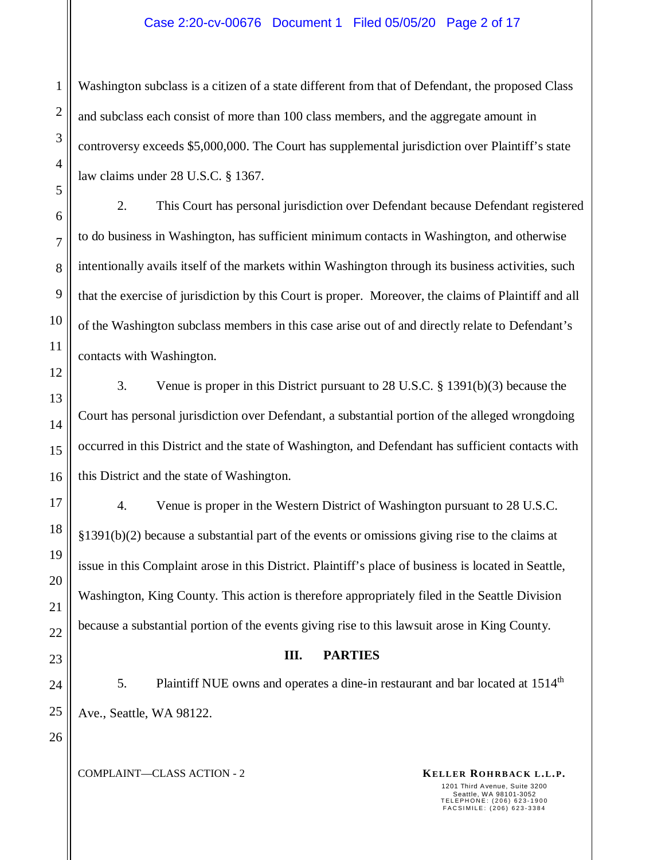### Case 2:20-cv-00676 Document 1 Filed 05/05/20 Page 2 of 17

Washington subclass is a citizen of a state different from that of Defendant, the proposed Class and subclass each consist of more than 100 class members, and the aggregate amount in controversy exceeds \$5,000,000. The Court has supplemental jurisdiction over Plaintiff's state law claims under 28 U.S.C. § 1367.

2. This Court has personal jurisdiction over Defendant because Defendant registered to do business in Washington, has sufficient minimum contacts in Washington, and otherwise intentionally avails itself of the markets within Washington through its business activities, such that the exercise of jurisdiction by this Court is proper. Moreover, the claims of Plaintiff and all of the Washington subclass members in this case arise out of and directly relate to Defendant's contacts with Washington.

3. Venue is proper in this District pursuant to 28 U.S.C. § 1391(b)(3) because the Court has personal jurisdiction over Defendant, a substantial portion of the alleged wrongdoing occurred in this District and the state of Washington, and Defendant has sufficient contacts with this District and the state of Washington.

4. Venue is proper in the Western District of Washington pursuant to 28 U.S.C. §1391(b)(2) because a substantial part of the events or omissions giving rise to the claims at issue in this Complaint arose in this District. Plaintiff's place of business is located in Seattle, Washington, King County. This action is therefore appropriately filed in the Seattle Division because a substantial portion of the events giving rise to this lawsuit arose in King County.

#### **III. PARTIES**

5. Plaintiff NUE owns and operates a dine-in restaurant and bar located at 1514<sup>th</sup> Ave., Seattle, WA 98122.

**COMPLAINT—CLASS ACTION - 2 KELLER ROHRBACK L.L.P.**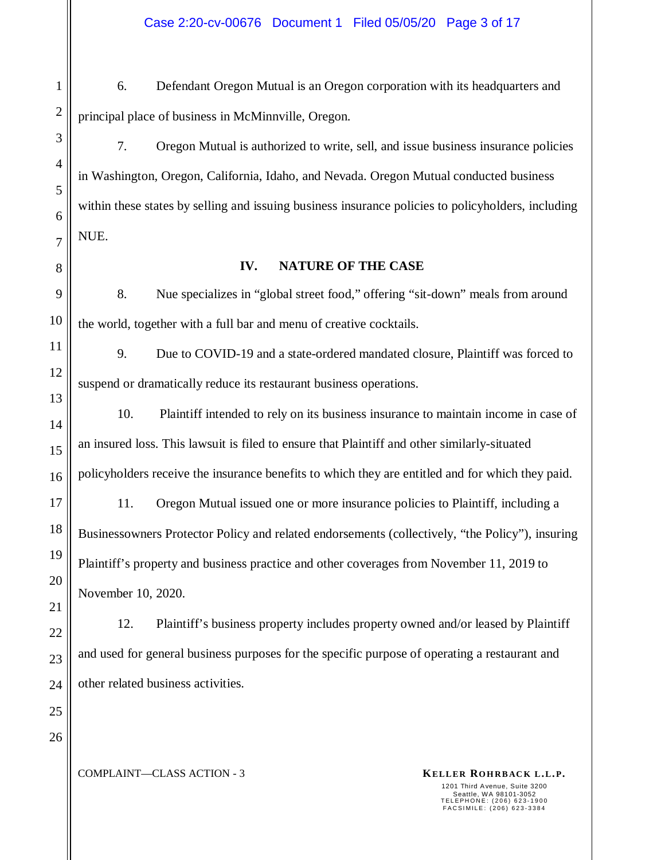6. Defendant Oregon Mutual is an Oregon corporation with its headquarters and principal place of business in McMinnville, Oregon.

7. Oregon Mutual is authorized to write, sell, and issue business insurance policies in Washington, Oregon, California, Idaho, and Nevada. Oregon Mutual conducted business within these states by selling and issuing business insurance policies to policyholders, including NUE.

8

9

10

11

12

13

14

15

16

17

18

19

20

21

22

23

1

2

3

4

5

6

7

### **IV. NATURE OF THE CASE**

8. Nue specializes in "global street food," offering "sit-down" meals from around the world, together with a full bar and menu of creative cocktails.

9. Due to COVID-19 and a state-ordered mandated closure, Plaintiff was forced to suspend or dramatically reduce its restaurant business operations.

10. Plaintiff intended to rely on its business insurance to maintain income in case of an insured loss. This lawsuit is filed to ensure that Plaintiff and other similarly-situated policyholders receive the insurance benefits to which they are entitled and for which they paid.

11. Oregon Mutual issued one or more insurance policies to Plaintiff, including a Businessowners Protector Policy and related endorsements (collectively, "the Policy"), insuring Plaintiff's property and business practice and other coverages from November 11, 2019 to November 10, 2020.

12. Plaintiff's business property includes property owned and/or leased by Plaintiff and used for general business purposes for the specific purpose of operating a restaurant and other related business activities.

24 25 26

**COMPLAINT—CLASS ACTION - 3 KELLER ROHRBACK L.L.P.**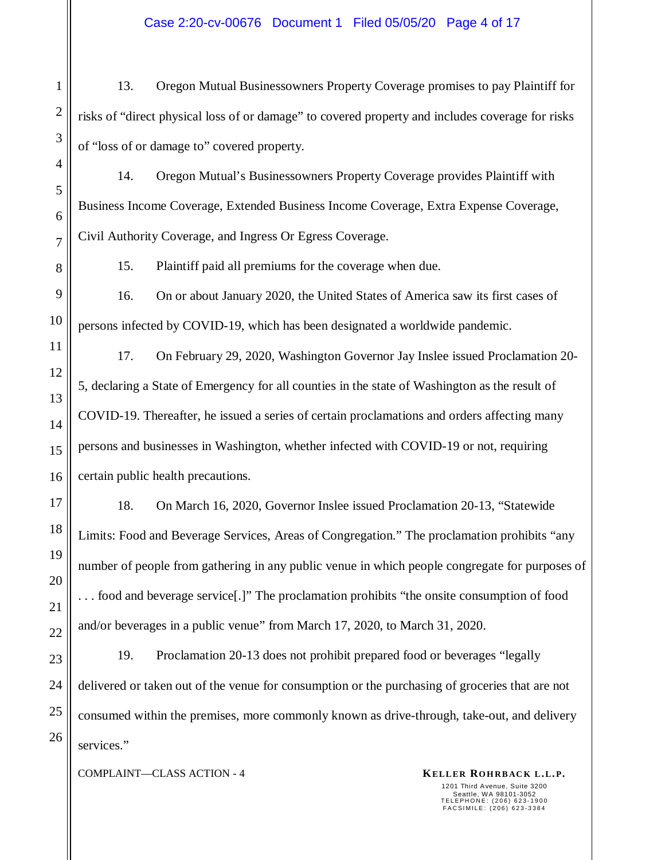### Case 2:20-cv-00676 Document 1 Filed 05/05/20 Page 4 of 17

13. Oregon Mutual Businessowners Property Coverage promises to pay Plaintiff for risks of "direct physical loss of or damage" to covered property and includes coverage for risks of "loss of or damage to" covered property.

14. Oregon Mutual's Businessowners Property Coverage provides Plaintiff with Business Income Coverage, Extended Business Income Coverage, Extra Expense Coverage, Civil Authority Coverage, and Ingress Or Egress Coverage.

15. Plaintiff paid all premiums for the coverage when due.

16. On or about January 2020, the United States of America saw its first cases of persons infected by COVID-19, which has been designated a worldwide pandemic.

17. On February 29, 2020, Washington Governor Jay Inslee issued Proclamation 20- 5, declaring a State of Emergency for all counties in the state of Washington as the result of COVID-19. Thereafter, he issued a series of certain proclamations and orders affecting many persons and businesses in Washington, whether infected with COVID-19 or not, requiring certain public health precautions.

18. On March 16, 2020, Governor Inslee issued Proclamation 20-13, "Statewide Limits: Food and Beverage Services, Areas of Congregation." The proclamation prohibits "any number of people from gathering in any public venue in which people congregate for purposes of . . . food and beverage service[.]" The proclamation prohibits "the onsite consumption of food and/or beverages in a public venue" from March 17, 2020, to March 31, 2020.

19. Proclamation 20-13 does not prohibit prepared food or beverages "legally delivered or taken out of the venue for consumption or the purchasing of groceries that are not consumed within the premises, more commonly known as drive-through, take-out, and delivery services."

**COMPLAINT—CLASS ACTION - 4 KELLER ROHRBACK L.L.P.** 

1

2

3

4

5

6

7

8

9

10

11

12

13

14

15

16

17

18

19

20

21

22

23

24

25

26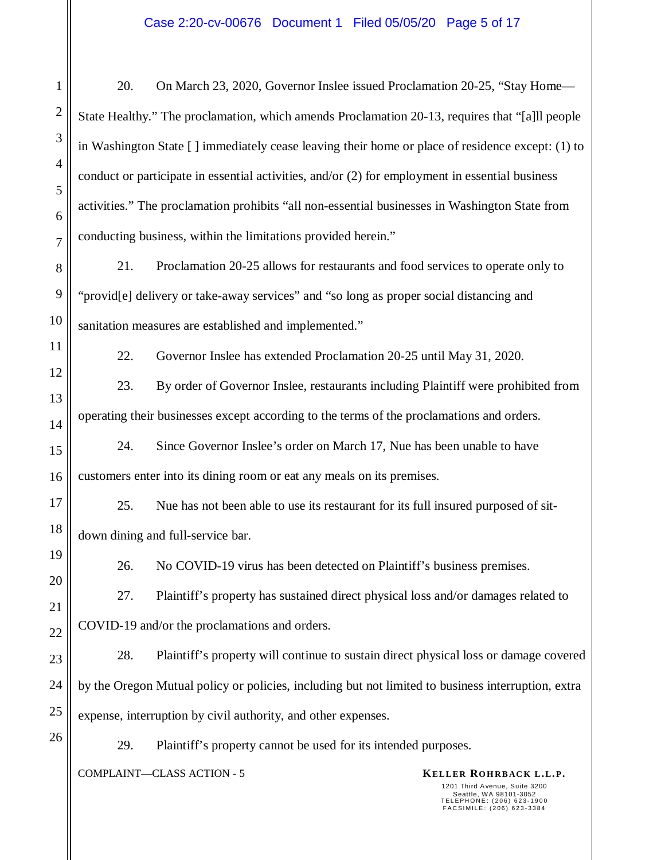20. On March 23, 2020, Governor Inslee issued Proclamation 20-25, "Stay Home— State Healthy." The proclamation, which amends Proclamation 20-13, requires that "[a]ll people in Washington State [ ] immediately cease leaving their home or place of residence except: (1) to conduct or participate in essential activities, and/or (2) for employment in essential business activities." The proclamation prohibits "all non-essential businesses in Washington State from conducting business, within the limitations provided herein."

21. Proclamation 20-25 allows for restaurants and food services to operate only to "provid[e] delivery or take-away services" and "so long as proper social distancing and sanitation measures are established and implemented."

22. Governor Inslee has extended Proclamation 20-25 until May 31, 2020.

23. By order of Governor Inslee, restaurants including Plaintiff were prohibited from operating their businesses except according to the terms of the proclamations and orders.

24. Since Governor Inslee's order on March 17, Nue has been unable to have customers enter into its dining room or eat any meals on its premises.

25. Nue has not been able to use its restaurant for its full insured purposed of sitdown dining and full-service bar.

26. No COVID-19 virus has been detected on Plaintiff's business premises.

27. Plaintiff's property has sustained direct physical loss and/or damages related to COVID-19 and/or the proclamations and orders.

28. Plaintiff's property will continue to sustain direct physical loss or damage covered by the Oregon Mutual policy or policies, including but not limited to business interruption, extra expense, interruption by civil authority, and other expenses.

29. Plaintiff's property cannot be used for its intended purposes.

**COMPLAINT—CLASS ACTION - 5 KELLER ROHRBACK L.L.P.**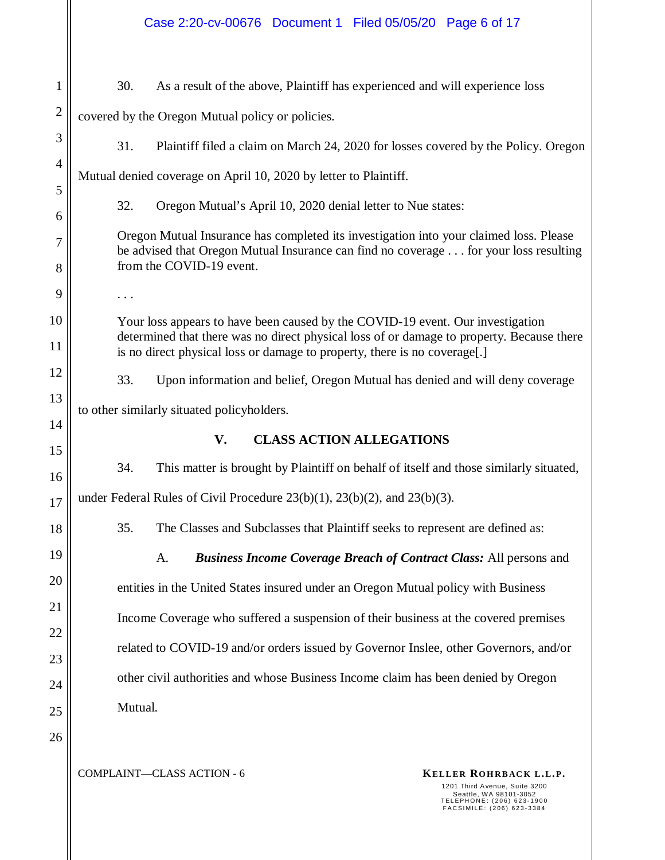|                | Case 2:20-cv-00676 Document 1 Filed 05/05/20 Page 6 of 17                                                                                                                      |  |  |  |  |  |
|----------------|--------------------------------------------------------------------------------------------------------------------------------------------------------------------------------|--|--|--|--|--|
| $\mathbf{1}$   | 30.<br>As a result of the above, Plaintiff has experienced and will experience loss                                                                                            |  |  |  |  |  |
| $\overline{2}$ | covered by the Oregon Mutual policy or policies.                                                                                                                               |  |  |  |  |  |
| 3              | 31.<br>Plaintiff filed a claim on March 24, 2020 for losses covered by the Policy. Oregon                                                                                      |  |  |  |  |  |
| $\overline{4}$ |                                                                                                                                                                                |  |  |  |  |  |
| 5              | Mutual denied coverage on April 10, 2020 by letter to Plaintiff.                                                                                                               |  |  |  |  |  |
| 6              | 32.<br>Oregon Mutual's April 10, 2020 denial letter to Nue states:                                                                                                             |  |  |  |  |  |
| 7              | Oregon Mutual Insurance has completed its investigation into your claimed loss. Please<br>be advised that Oregon Mutual Insurance can find no coverage for your loss resulting |  |  |  |  |  |
| 8              | from the COVID-19 event.                                                                                                                                                       |  |  |  |  |  |
| 9              |                                                                                                                                                                                |  |  |  |  |  |
| 10             | Your loss appears to have been caused by the COVID-19 event. Our investigation                                                                                                 |  |  |  |  |  |
| 11             | determined that there was no direct physical loss of or damage to property. Because there<br>is no direct physical loss or damage to property, there is no coverage.]          |  |  |  |  |  |
| 12             | 33.<br>Upon information and belief, Oregon Mutual has denied and will deny coverage                                                                                            |  |  |  |  |  |
| 13             | to other similarly situated policyholders.                                                                                                                                     |  |  |  |  |  |
| 14             | <b>CLASS ACTION ALLEGATIONS</b><br>V.                                                                                                                                          |  |  |  |  |  |
| 15             | 34.<br>This matter is brought by Plaintiff on behalf of itself and those similarly situated,                                                                                   |  |  |  |  |  |
| 16             |                                                                                                                                                                                |  |  |  |  |  |
| 17             | under Federal Rules of Civil Procedure $23(b)(1)$ , $23(b)(2)$ , and $23(b)(3)$ .                                                                                              |  |  |  |  |  |
| 18             | 35.<br>The Classes and Subclasses that Plaintiff seeks to represent are defined as:                                                                                            |  |  |  |  |  |
| 19             | <b>Business Income Coverage Breach of Contract Class: All persons and</b><br>A.                                                                                                |  |  |  |  |  |
| 20             | entities in the United States insured under an Oregon Mutual policy with Business                                                                                              |  |  |  |  |  |
| 21             | Income Coverage who suffered a suspension of their business at the covered premises                                                                                            |  |  |  |  |  |
| 22             | related to COVID-19 and/or orders issued by Governor Inslee, other Governors, and/or                                                                                           |  |  |  |  |  |
| 23             | other civil authorities and whose Business Income claim has been denied by Oregon                                                                                              |  |  |  |  |  |
| 24             |                                                                                                                                                                                |  |  |  |  |  |
| 25             | Mutual.                                                                                                                                                                        |  |  |  |  |  |
| 26             | COMPLAINT-CLASS ACTION - 6<br>KELLER ROHRBACK L.L.P.<br>1201 Third Avenue, Suite 3200<br>Seattle, WA 98101-3052                                                                |  |  |  |  |  |
|                | TELEPHONE: (206) 623-1900<br>FACSIMILE: (206) 623-3384                                                                                                                         |  |  |  |  |  |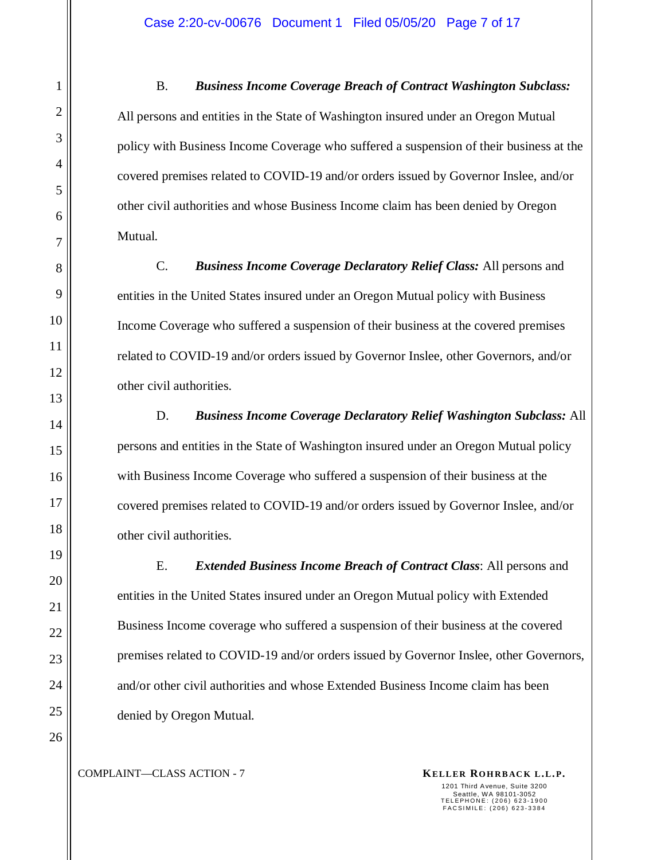B. *Business Income Coverage Breach of Contract Washington Subclass:* All persons and entities in the State of Washington insured under an Oregon Mutual policy with Business Income Coverage who suffered a suspension of their business at the covered premises related to COVID-19 and/or orders issued by Governor Inslee, and/or other civil authorities and whose Business Income claim has been denied by Oregon Mutual.

C. *Business Income Coverage Declaratory Relief Class:* All persons and entities in the United States insured under an Oregon Mutual policy with Business Income Coverage who suffered a suspension of their business at the covered premises related to COVID-19 and/or orders issued by Governor Inslee, other Governors, and/or other civil authorities.

D. *Business Income Coverage Declaratory Relief Washington Subclass:* All persons and entities in the State of Washington insured under an Oregon Mutual policy with Business Income Coverage who suffered a suspension of their business at the covered premises related to COVID-19 and/or orders issued by Governor Inslee, and/or other civil authorities.

E. *Extended Business Income Breach of Contract Class*: All persons and entities in the United States insured under an Oregon Mutual policy with Extended Business Income coverage who suffered a suspension of their business at the covered premises related to COVID-19 and/or orders issued by Governor Inslee, other Governors, and/or other civil authorities and whose Extended Business Income claim has been denied by Oregon Mutual.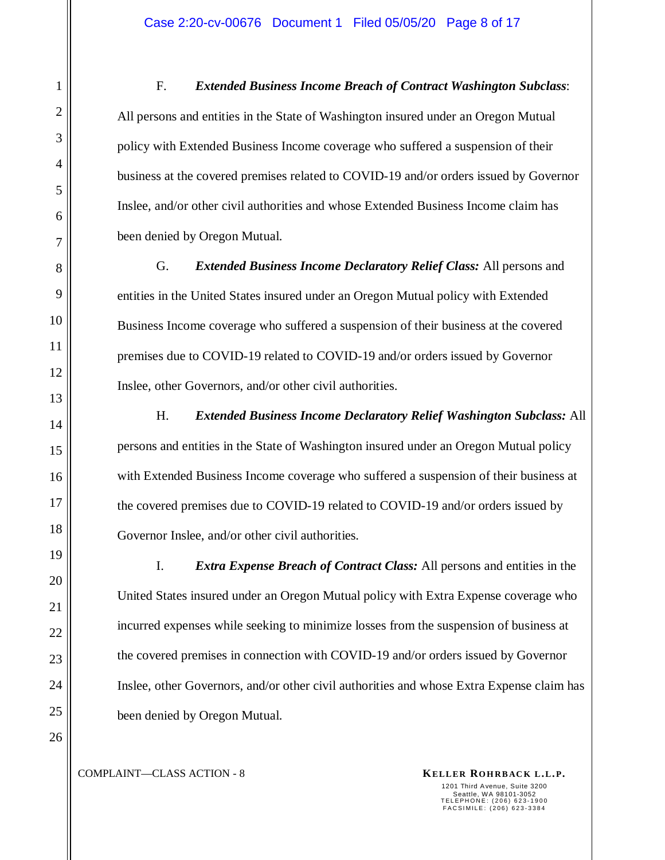F. *Extended Business Income Breach of Contract Washington Subclass*: All persons and entities in the State of Washington insured under an Oregon Mutual policy with Extended Business Income coverage who suffered a suspension of their business at the covered premises related to COVID-19 and/or orders issued by Governor Inslee, and/or other civil authorities and whose Extended Business Income claim has been denied by Oregon Mutual.

G. *Extended Business Income Declaratory Relief Class:* All persons and entities in the United States insured under an Oregon Mutual policy with Extended Business Income coverage who suffered a suspension of their business at the covered premises due to COVID-19 related to COVID-19 and/or orders issued by Governor Inslee, other Governors, and/or other civil authorities.

H. *Extended Business Income Declaratory Relief Washington Subclass:* All persons and entities in the State of Washington insured under an Oregon Mutual policy with Extended Business Income coverage who suffered a suspension of their business at the covered premises due to COVID-19 related to COVID-19 and/or orders issued by Governor Inslee, and/or other civil authorities.

I. *Extra Expense Breach of Contract Class:* All persons and entities in the United States insured under an Oregon Mutual policy with Extra Expense coverage who incurred expenses while seeking to minimize losses from the suspension of business at the covered premises in connection with COVID-19 and/or orders issued by Governor Inslee, other Governors, and/or other civil authorities and whose Extra Expense claim has been denied by Oregon Mutual.

**COMPLAINT—CLASS ACTION - 8 KELLER ROHRBACK L.L.P.**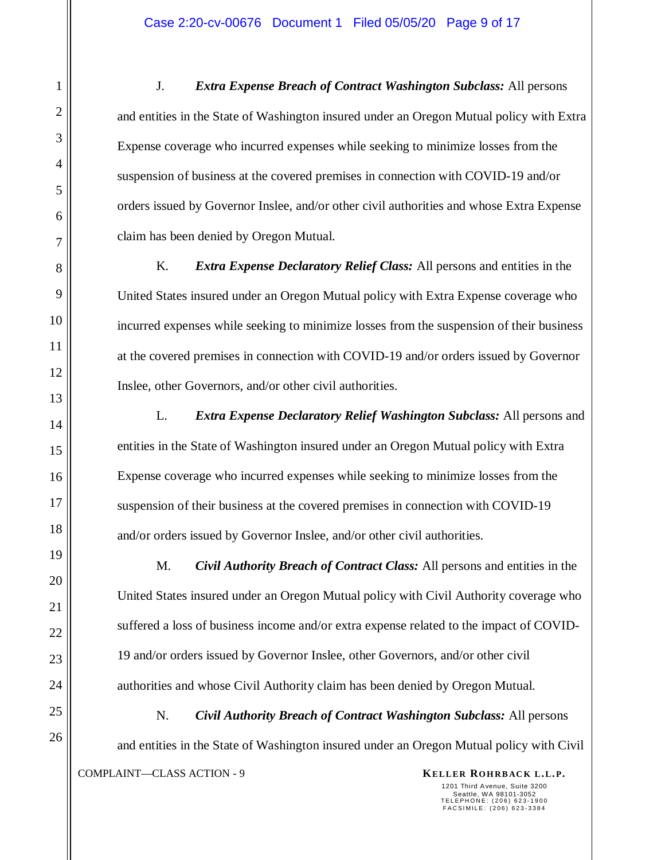J. *Extra Expense Breach of Contract Washington Subclass:* All persons and entities in the State of Washington insured under an Oregon Mutual policy with Extra Expense coverage who incurred expenses while seeking to minimize losses from the suspension of business at the covered premises in connection with COVID-19 and/or orders issued by Governor Inslee, and/or other civil authorities and whose Extra Expense claim has been denied by Oregon Mutual.

K. *Extra Expense Declaratory Relief Class:* All persons and entities in the United States insured under an Oregon Mutual policy with Extra Expense coverage who incurred expenses while seeking to minimize losses from the suspension of their business at the covered premises in connection with COVID-19 and/or orders issued by Governor Inslee, other Governors, and/or other civil authorities.

L. *Extra Expense Declaratory Relief Washington Subclass:* All persons and entities in the State of Washington insured under an Oregon Mutual policy with Extra Expense coverage who incurred expenses while seeking to minimize losses from the suspension of their business at the covered premises in connection with COVID-19 and/or orders issued by Governor Inslee, and/or other civil authorities.

M. *Civil Authority Breach of Contract Class:* All persons and entities in the United States insured under an Oregon Mutual policy with Civil Authority coverage who suffered a loss of business income and/or extra expense related to the impact of COVID-19 and/or orders issued by Governor Inslee, other Governors, and/or other civil authorities and whose Civil Authority claim has been denied by Oregon Mutual.

**COMPLAINT—CLASS ACTION - 9 KELLER ROHRBACK L.L.P.** N. *Civil Authority Breach of Contract Washington Subclass:* All persons and entities in the State of Washington insured under an Oregon Mutual policy with Civil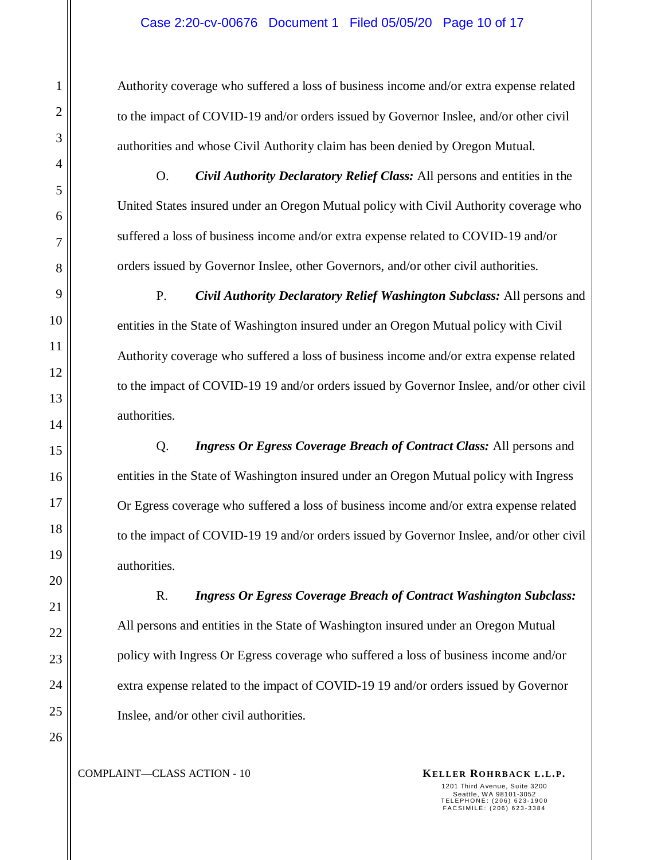Authority coverage who suffered a loss of business income and/or extra expense related to the impact of COVID-19 and/or orders issued by Governor Inslee, and/or other civil authorities and whose Civil Authority claim has been denied by Oregon Mutual.

O. *Civil Authority Declaratory Relief Class:* All persons and entities in the United States insured under an Oregon Mutual policy with Civil Authority coverage who suffered a loss of business income and/or extra expense related to COVID-19 and/or orders issued by Governor Inslee, other Governors, and/or other civil authorities.

P. *Civil Authority Declaratory Relief Washington Subclass:* All persons and entities in the State of Washington insured under an Oregon Mutual policy with Civil Authority coverage who suffered a loss of business income and/or extra expense related to the impact of COVID-19 19 and/or orders issued by Governor Inslee, and/or other civil authorities.

Q. *Ingress Or Egress Coverage Breach of Contract Class:* All persons and entities in the State of Washington insured under an Oregon Mutual policy with Ingress Or Egress coverage who suffered a loss of business income and/or extra expense related to the impact of COVID-19 19 and/or orders issued by Governor Inslee, and/or other civil authorities.

R. *Ingress Or Egress Coverage Breach of Contract Washington Subclass:* All persons and entities in the State of Washington insured under an Oregon Mutual policy with Ingress Or Egress coverage who suffered a loss of business income and/or extra expense related to the impact of COVID-19 19 and/or orders issued by Governor Inslee, and/or other civil authorities.

**COMPLAINT—CLASS ACTION - 10 KELLER ROHRBACK L.L.P.**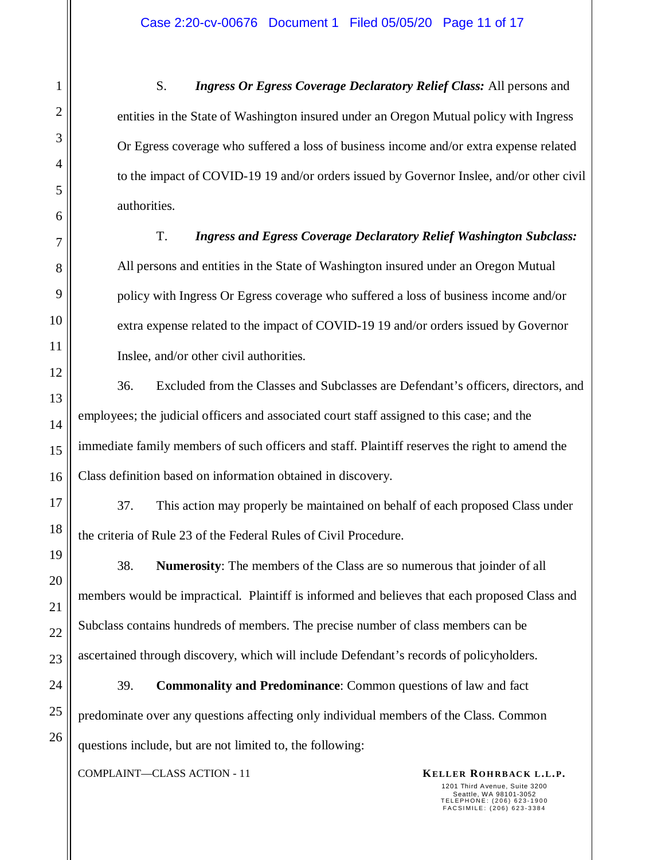S. *Ingress Or Egress Coverage Declaratory Relief Class:* All persons and entities in the State of Washington insured under an Oregon Mutual policy with Ingress Or Egress coverage who suffered a loss of business income and/or extra expense related to the impact of COVID-19 19 and/or orders issued by Governor Inslee, and/or other civil authorities.

T. *Ingress and Egress Coverage Declaratory Relief Washington Subclass:* All persons and entities in the State of Washington insured under an Oregon Mutual policy with Ingress Or Egress coverage who suffered a loss of business income and/or extra expense related to the impact of COVID-19 19 and/or orders issued by Governor Inslee, and/or other civil authorities.

36. Excluded from the Classes and Subclasses are Defendant's officers, directors, and employees; the judicial officers and associated court staff assigned to this case; and the immediate family members of such officers and staff. Plaintiff reserves the right to amend the Class definition based on information obtained in discovery.

37. This action may properly be maintained on behalf of each proposed Class under the criteria of Rule 23 of the Federal Rules of Civil Procedure.

38. **Numerosity**: The members of the Class are so numerous that joinder of all members would be impractical. Plaintiff is informed and believes that each proposed Class and Subclass contains hundreds of members. The precise number of class members can be ascertained through discovery, which will include Defendant's records of policyholders.

39. **Commonality and Predominance**: Common questions of law and fact predominate over any questions affecting only individual members of the Class. Common questions include, but are not limited to, the following:

**COMPLAINT—CLASS ACTION - 11 KELLER ROHRBACK L.L.P.**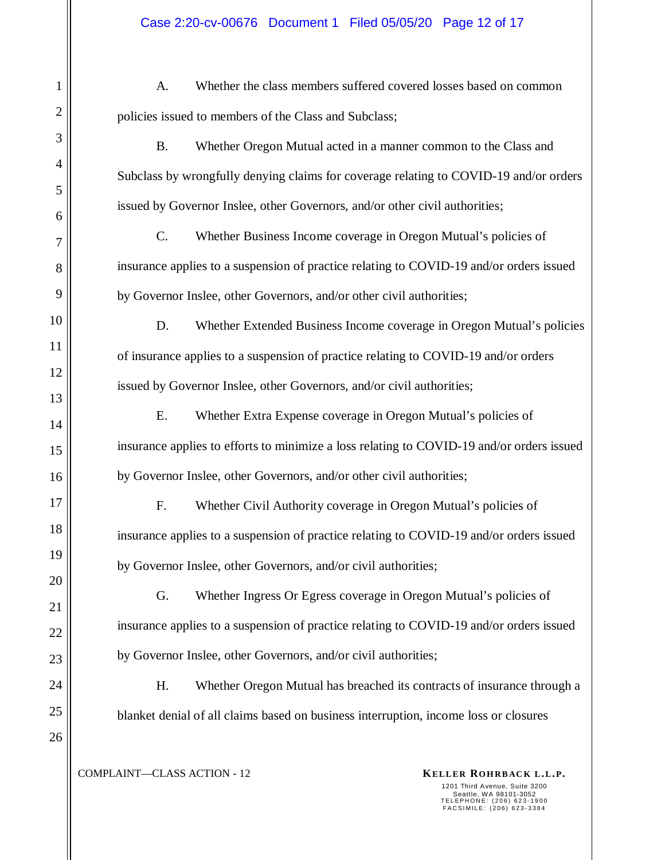A. Whether the class members suffered covered losses based on common policies issued to members of the Class and Subclass;

B. Whether Oregon Mutual acted in a manner common to the Class and Subclass by wrongfully denying claims for coverage relating to COVID-19 and/or orders issued by Governor Inslee, other Governors, and/or other civil authorities;

C. Whether Business Income coverage in Oregon Mutual's policies of insurance applies to a suspension of practice relating to COVID-19 and/or orders issued by Governor Inslee, other Governors, and/or other civil authorities;

D. Whether Extended Business Income coverage in Oregon Mutual's policies of insurance applies to a suspension of practice relating to COVID-19 and/or orders issued by Governor Inslee, other Governors, and/or civil authorities;

E. Whether Extra Expense coverage in Oregon Mutual's policies of insurance applies to efforts to minimize a loss relating to COVID-19 and/or orders issued by Governor Inslee, other Governors, and/or other civil authorities;

F. Whether Civil Authority coverage in Oregon Mutual's policies of insurance applies to a suspension of practice relating to COVID-19 and/or orders issued by Governor Inslee, other Governors, and/or civil authorities;

G. Whether Ingress Or Egress coverage in Oregon Mutual's policies of insurance applies to a suspension of practice relating to COVID-19 and/or orders issued by Governor Inslee, other Governors, and/or civil authorities;

H. Whether Oregon Mutual has breached its contracts of insurance through a blanket denial of all claims based on business interruption, income loss or closures

**COMPLAINT—CLASS ACTION - 12 KELLER ROHRBACK L.L.P.**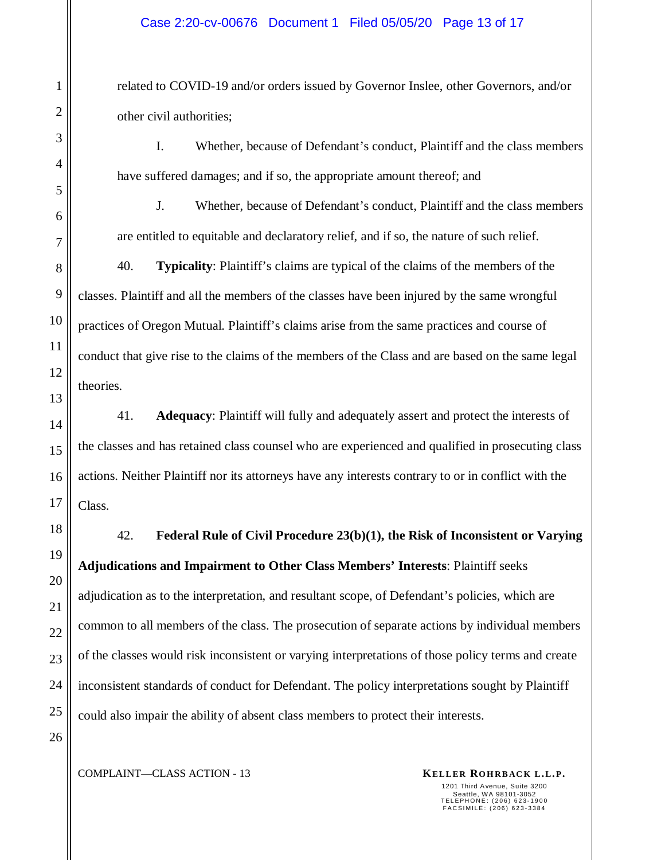related to COVID-19 and/or orders issued by Governor Inslee, other Governors, and/or other civil authorities;

I. Whether, because of Defendant's conduct, Plaintiff and the class members have suffered damages; and if so, the appropriate amount thereof; and

J. Whether, because of Defendant's conduct, Plaintiff and the class members are entitled to equitable and declaratory relief, and if so, the nature of such relief.

40. **Typicality**: Plaintiff's claims are typical of the claims of the members of the classes. Plaintiff and all the members of the classes have been injured by the same wrongful practices of Oregon Mutual. Plaintiff's claims arise from the same practices and course of conduct that give rise to the claims of the members of the Class and are based on the same legal theories.

41. **Adequacy**: Plaintiff will fully and adequately assert and protect the interests of the classes and has retained class counsel who are experienced and qualified in prosecuting class actions. Neither Plaintiff nor its attorneys have any interests contrary to or in conflict with the Class.

42. **Federal Rule of Civil Procedure 23(b)(1), the Risk of Inconsistent or Varying Adjudications and Impairment to Other Class Members' Interests**: Plaintiff seeks adjudication as to the interpretation, and resultant scope, of Defendant's policies, which are common to all members of the class. The prosecution of separate actions by individual members of the classes would risk inconsistent or varying interpretations of those policy terms and create inconsistent standards of conduct for Defendant. The policy interpretations sought by Plaintiff could also impair the ability of absent class members to protect their interests.

**COMPLAINT—CLASS ACTION - 13 KELLER ROHRBACK L.L.P.**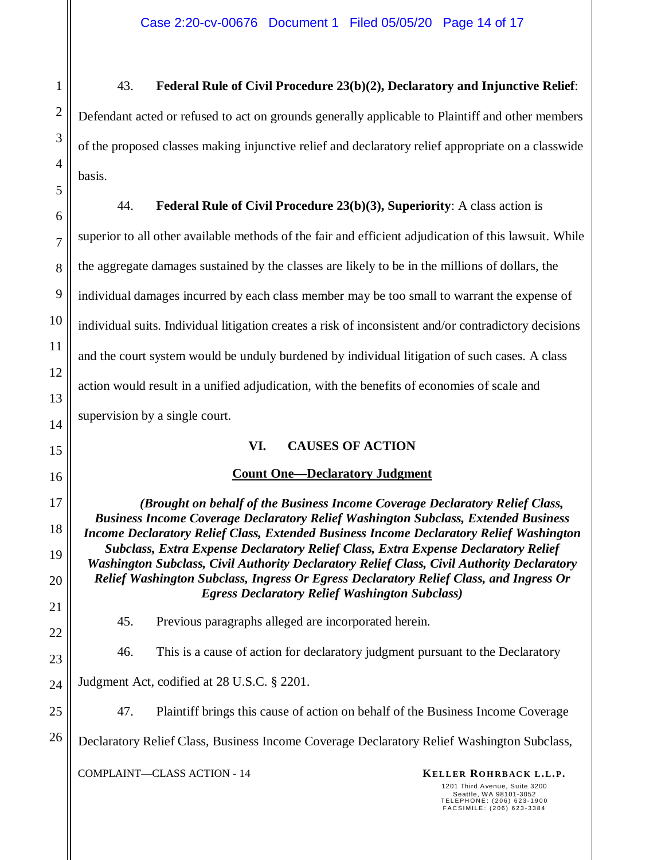# 43. **Federal Rule of Civil Procedure 23(b)(2), Declaratory and Injunctive Relief**: Defendant acted or refused to act on grounds generally applicable to Plaintiff and other members of the proposed classes making injunctive relief and declaratory relief appropriate on a classwide basis.

44. **Federal Rule of Civil Procedure 23(b)(3), Superiority**: A class action is superior to all other available methods of the fair and efficient adjudication of this lawsuit. While the aggregate damages sustained by the classes are likely to be in the millions of dollars, the individual damages incurred by each class member may be too small to warrant the expense of individual suits. Individual litigation creates a risk of inconsistent and/or contradictory decisions and the court system would be unduly burdened by individual litigation of such cases. A class action would result in a unified adjudication, with the benefits of economies of scale and supervision by a single court.

# **VI. CAUSES OF ACTION**

# **Count One—Declaratory Judgment**

*(Brought on behalf of the Business Income Coverage Declaratory Relief Class, Business Income Coverage Declaratory Relief Washington Subclass, Extended Business Income Declaratory Relief Class, Extended Business Income Declaratory Relief Washington Subclass, Extra Expense Declaratory Relief Class, Extra Expense Declaratory Relief Washington Subclass, Civil Authority Declaratory Relief Class, Civil Authority Declaratory Relief Washington Subclass, Ingress Or Egress Declaratory Relief Class, and Ingress Or Egress Declaratory Relief Washington Subclass)* 

45. Previous paragraphs alleged are incorporated herein.

46. This is a cause of action for declaratory judgment pursuant to the Declaratory

Judgment Act, codified at 28 U.S.C. § 2201.

47. Plaintiff brings this cause of action on behalf of the Business Income Coverage

Declaratory Relief Class, Business Income Coverage Declaratory Relief Washington Subclass,

**COMPLAINT—CLASS ACTION - 14 KELLER ROHRBACK L.L.P.**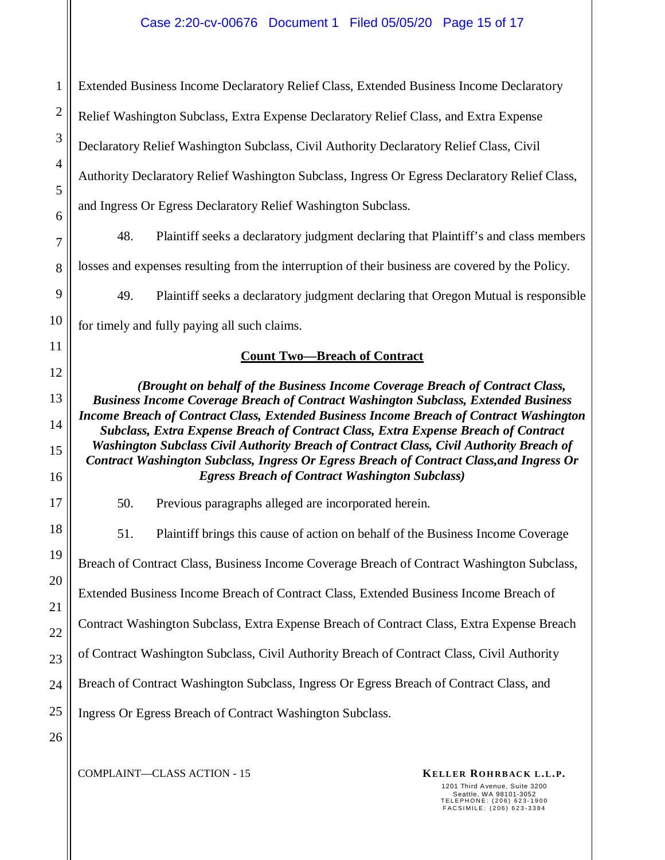Extended Business Income Declaratory Relief Class, Extended Business Income Declaratory Relief Washington Subclass, Extra Expense Declaratory Relief Class, and Extra Expense Declaratory Relief Washington Subclass, Civil Authority Declaratory Relief Class, Civil Authority Declaratory Relief Washington Subclass, Ingress Or Egress Declaratory Relief Class, and Ingress Or Egress Declaratory Relief Washington Subclass.

48. Plaintiff seeks a declaratory judgment declaring that Plaintiff's and class members losses and expenses resulting from the interruption of their business are covered by the Policy.

49. Plaintiff seeks a declaratory judgment declaring that Oregon Mutual is responsible for timely and fully paying all such claims.

# **Count Two—Breach of Contract**

*(Brought on behalf of the Business Income Coverage Breach of Contract Class, Business Income Coverage Breach of Contract Washington Subclass, Extended Business Income Breach of Contract Class, Extended Business Income Breach of Contract Washington Subclass, Extra Expense Breach of Contract Class, Extra Expense Breach of Contract Washington Subclass Civil Authority Breach of Contract Class, Civil Authority Breach of Contract Washington Subclass, Ingress Or Egress Breach of Contract Class,and Ingress Or Egress Breach of Contract Washington Subclass)* 

50. Previous paragraphs alleged are incorporated herein.

51. Plaintiff brings this cause of action on behalf of the Business Income Coverage Breach of Contract Class, Business Income Coverage Breach of Contract Washington Subclass, Extended Business Income Breach of Contract Class, Extended Business Income Breach of Contract Washington Subclass, Extra Expense Breach of Contract Class, Extra Expense Breach of Contract Washington Subclass, Civil Authority Breach of Contract Class, Civil Authority Breach of Contract Washington Subclass, Ingress Or Egress Breach of Contract Class, and Ingress Or Egress Breach of Contract Washington Subclass.

**COMPLAINT—CLASS ACTION - 15 KELLER ROHRBACK L.L.P.** 

1

2

3

4

5

6

7

8

9

10

11

12

13

14

15

16

17

18

19

20

21

22

23

24

25

26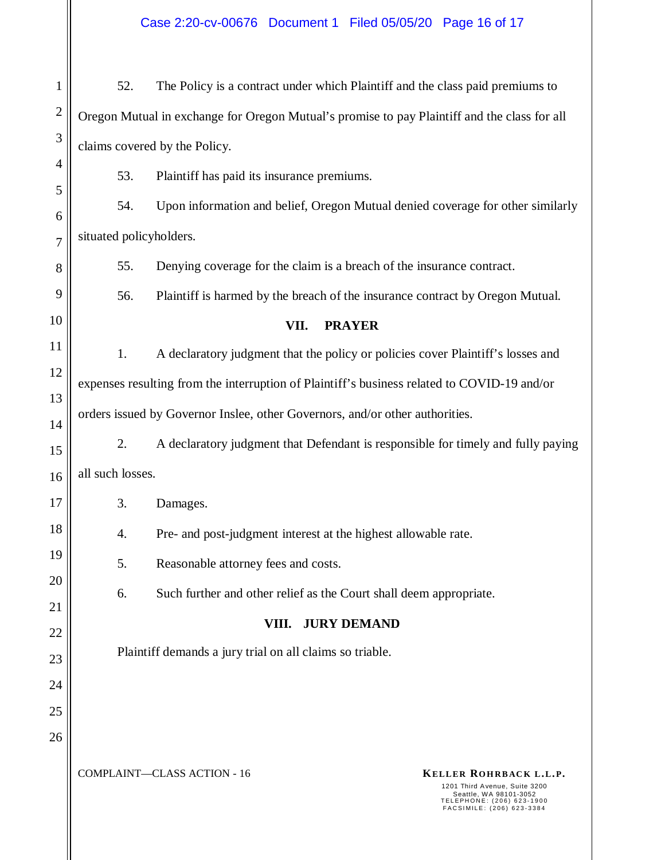|                |                                                                                             | Case 2:20-cv-00676 Document 1 Filed 05/05/20 Page 16 of 17                                                                                                                        |  |  |  |  |  |
|----------------|---------------------------------------------------------------------------------------------|-----------------------------------------------------------------------------------------------------------------------------------------------------------------------------------|--|--|--|--|--|
| 1              | 52.                                                                                         | The Policy is a contract under which Plaintiff and the class paid premiums to                                                                                                     |  |  |  |  |  |
| $\overline{2}$ |                                                                                             | Oregon Mutual in exchange for Oregon Mutual's promise to pay Plaintiff and the class for all                                                                                      |  |  |  |  |  |
| 3              | claims covered by the Policy.                                                               |                                                                                                                                                                                   |  |  |  |  |  |
| $\overline{4}$ | 53.                                                                                         | Plaintiff has paid its insurance premiums.                                                                                                                                        |  |  |  |  |  |
| 5<br>6         | 54.                                                                                         | Upon information and belief, Oregon Mutual denied coverage for other similarly                                                                                                    |  |  |  |  |  |
| 7              | situated policyholders.                                                                     |                                                                                                                                                                                   |  |  |  |  |  |
| 8              | 55.<br>Denying coverage for the claim is a breach of the insurance contract.                |                                                                                                                                                                                   |  |  |  |  |  |
| 9              | 56.                                                                                         | Plaintiff is harmed by the breach of the insurance contract by Oregon Mutual.                                                                                                     |  |  |  |  |  |
| 10             | VII.<br><b>PRAYER</b>                                                                       |                                                                                                                                                                                   |  |  |  |  |  |
| 11             | 1.                                                                                          | A declaratory judgment that the policy or policies cover Plaintiff's losses and                                                                                                   |  |  |  |  |  |
| 12             | expenses resulting from the interruption of Plaintiff's business related to COVID-19 and/or |                                                                                                                                                                                   |  |  |  |  |  |
| 13<br>14       | orders issued by Governor Inslee, other Governors, and/or other authorities.                |                                                                                                                                                                                   |  |  |  |  |  |
| 15             | 2.<br>A declaratory judgment that Defendant is responsible for timely and fully paying      |                                                                                                                                                                                   |  |  |  |  |  |
| 16             | all such losses.                                                                            |                                                                                                                                                                                   |  |  |  |  |  |
| 17             | 3.<br>Damages.                                                                              |                                                                                                                                                                                   |  |  |  |  |  |
| 18             | 4.<br>Pre- and post-judgment interest at the highest allowable rate.                        |                                                                                                                                                                                   |  |  |  |  |  |
| 19             | 5.<br>Reasonable attorney fees and costs.                                                   |                                                                                                                                                                                   |  |  |  |  |  |
| 20             | 6.                                                                                          | Such further and other relief as the Court shall deem appropriate.                                                                                                                |  |  |  |  |  |
| 21<br>22       | <b>JURY DEMAND</b><br>VIII.                                                                 |                                                                                                                                                                                   |  |  |  |  |  |
| 23             |                                                                                             | Plaintiff demands a jury trial on all claims so triable.                                                                                                                          |  |  |  |  |  |
| 24             |                                                                                             |                                                                                                                                                                                   |  |  |  |  |  |
| 25             |                                                                                             |                                                                                                                                                                                   |  |  |  |  |  |
| 26             |                                                                                             |                                                                                                                                                                                   |  |  |  |  |  |
|                |                                                                                             | <b>COMPLAINT-CLASS ACTION - 16</b><br>KELLER ROHRBACK L.L.P.<br>1201 Third Avenue, Suite 3200<br>Seattle, WA 98101-3052<br>TELEPHONE: (206) 623-1900<br>FACSIMILE: (206) 623-3384 |  |  |  |  |  |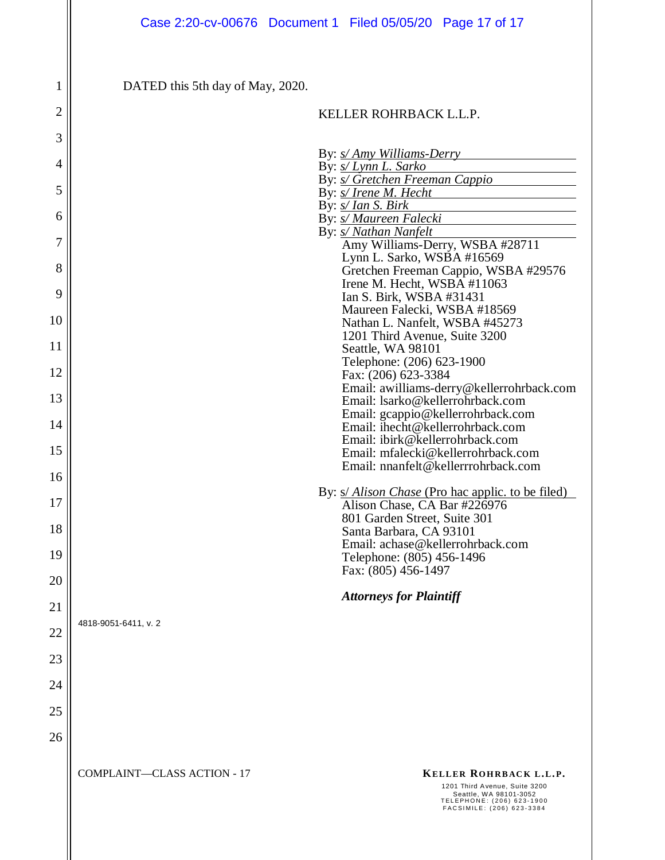DATED this 5th day of May, 2020.

1

2

3

4

5

6

7

8

9

10

11

12

13

14

15

16

17

18

19

20

21

22

23

24

25

26

### **StandardSig** KELLER ROHRBACK L.L.P.

|                                    | By: <i>s/Amy Williams-Derry</i>                          |
|------------------------------------|----------------------------------------------------------|
|                                    | By: s/ Lynn L. Sarko                                     |
|                                    | By: s/ Gretchen Freeman Cappio                           |
|                                    | By: <i>s/ Irene M. Hecht</i>                             |
|                                    | By: <i>s/ Ian S. Birk</i>                                |
|                                    | By: <i>s/ Maureen Falecki</i>                            |
|                                    | By: <i>s/ Nathan Nanfelt</i>                             |
|                                    |                                                          |
|                                    | Amy Williams-Derry, WSBA #28711                          |
|                                    | Lynn L. Sarko, WSBA #16569                               |
|                                    | Gretchen Freeman Cappio, WSBA #29576                     |
|                                    | Irene M. Hecht, WSBA #11063                              |
|                                    | Ian S. Birk, WSBA #31431                                 |
|                                    | Maureen Falecki, WSBA #18569                             |
|                                    | Nathan L. Nanfelt, WSBA #45273                           |
|                                    | 1201 Third Avenue, Suite 3200                            |
|                                    | Seattle, WA 98101                                        |
|                                    | Telephone: (206) 623-1900                                |
|                                    | Fax: (206) 623-3384                                      |
|                                    | Email: awilliams-derry@kellerrohrback.com                |
|                                    | Email: lsarko@kellerrohrback.com                         |
|                                    | Email: gcappio@kellerrohrback.com                        |
|                                    | Email: ihecht@kellerrohrback.com                         |
|                                    | Email: ibirk@kellerrohrback.com                          |
|                                    | Email: mfalecki@kellerrohrback.com                       |
|                                    | Email: nnanfelt@kellerrrohrback.com                      |
|                                    |                                                          |
|                                    |                                                          |
|                                    | By: <u>s/ Alison Chase</u> (Pro hac applic, to be filed) |
|                                    | Alison Chase, CA Bar #226976                             |
|                                    | 801 Garden Street, Suite 301                             |
|                                    | Santa Barbara, CA 93101                                  |
|                                    | Email: achase@kellerrohrback.com                         |
|                                    | Telephone: (805) 456-1496                                |
|                                    | Fax: (805) 456-1497                                      |
|                                    |                                                          |
|                                    | <b>Attorneys for Plaintiff</b>                           |
|                                    |                                                          |
| 4818-9051-6411, v. 2               |                                                          |
|                                    |                                                          |
|                                    |                                                          |
|                                    |                                                          |
|                                    |                                                          |
|                                    |                                                          |
|                                    |                                                          |
|                                    |                                                          |
|                                    |                                                          |
|                                    |                                                          |
|                                    |                                                          |
|                                    |                                                          |
| <b>COMPLAINT—CLASS ACTION - 17</b> | KELLER ROHRBACK L.L.P.                                   |
|                                    | 1201 Third Avenue, Suite 3200<br>Seattle, WA 98101-3052  |
|                                    | TELEPHONE: (206) 623-1900<br>FACSIMILE: (206) 623-3384   |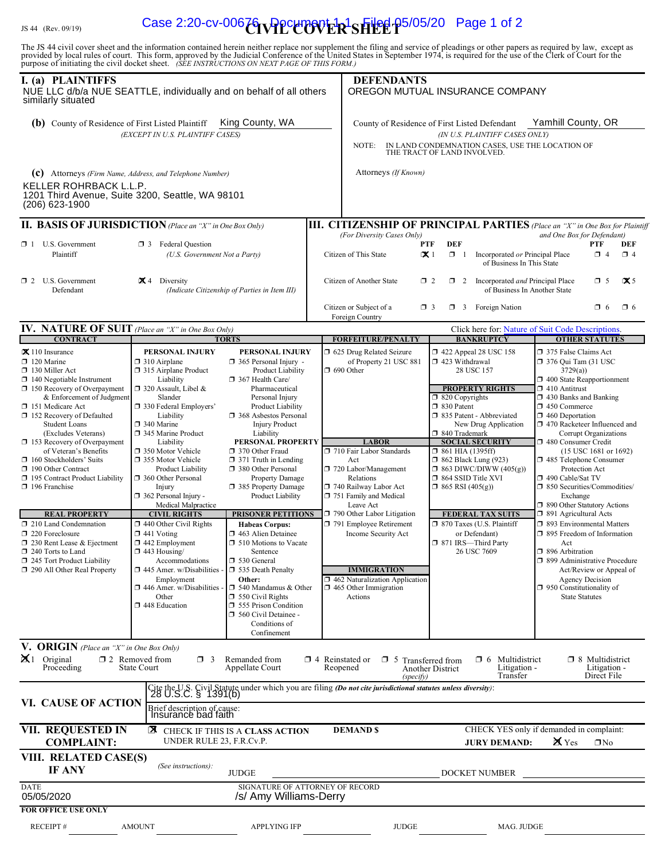# $\frac{H_{\rm Js}}{44}$  (Rev. 09/19) **Case 2:20-cv-00676 DPC 2000 Page 1 of 2**

The JS 44 civil cover sheet and the information contained herein neither replace nor supplement the filing and service of pleadings or other papers as required by law, except as provided by local rules of court. This form,

| I. (a) PLAINTIFFS<br>NUE LLC d/b/a NUE SEATTLE, individually and on behalf of all others<br>similarly situated                                                                                                                                                                                                                                                                                                                                                                                                                                                                                                                                                             |                                                                                                                                                                                                                                                                                                                                                                                                                                                                                                                                                                                                                                          |                                                                                                                                                                                                                                                                                                                                                                                                                                                                                                                                                                                                                                                                                                       |                                                                                                                                                                                                                                                                                                                                                                                                                      | <b>DEFENDANTS</b><br>OREGON MUTUAL INSURANCE COMPANY                                                                                                                                                                                                                                                                                                                                                                                                                                                      |                                                                                                                                                                                                                                                                                                                                                                                                                                                                                                                                                                                                                                                                                                                                       |  |  |
|----------------------------------------------------------------------------------------------------------------------------------------------------------------------------------------------------------------------------------------------------------------------------------------------------------------------------------------------------------------------------------------------------------------------------------------------------------------------------------------------------------------------------------------------------------------------------------------------------------------------------------------------------------------------------|------------------------------------------------------------------------------------------------------------------------------------------------------------------------------------------------------------------------------------------------------------------------------------------------------------------------------------------------------------------------------------------------------------------------------------------------------------------------------------------------------------------------------------------------------------------------------------------------------------------------------------------|-------------------------------------------------------------------------------------------------------------------------------------------------------------------------------------------------------------------------------------------------------------------------------------------------------------------------------------------------------------------------------------------------------------------------------------------------------------------------------------------------------------------------------------------------------------------------------------------------------------------------------------------------------------------------------------------------------|----------------------------------------------------------------------------------------------------------------------------------------------------------------------------------------------------------------------------------------------------------------------------------------------------------------------------------------------------------------------------------------------------------------------|-----------------------------------------------------------------------------------------------------------------------------------------------------------------------------------------------------------------------------------------------------------------------------------------------------------------------------------------------------------------------------------------------------------------------------------------------------------------------------------------------------------|---------------------------------------------------------------------------------------------------------------------------------------------------------------------------------------------------------------------------------------------------------------------------------------------------------------------------------------------------------------------------------------------------------------------------------------------------------------------------------------------------------------------------------------------------------------------------------------------------------------------------------------------------------------------------------------------------------------------------------------|--|--|
| King County, WA<br>(b) County of Residence of First Listed Plaintiff<br>(EXCEPT IN U.S. PLAINTIFF CASES)                                                                                                                                                                                                                                                                                                                                                                                                                                                                                                                                                                   |                                                                                                                                                                                                                                                                                                                                                                                                                                                                                                                                                                                                                                          |                                                                                                                                                                                                                                                                                                                                                                                                                                                                                                                                                                                                                                                                                                       | NOTE:                                                                                                                                                                                                                                                                                                                                                                                                                | Yamhill County, OR<br>County of Residence of First Listed Defendant<br>(IN U.S. PLAINTIFF CASES ONLY)<br>IN LAND CONDEMNATION CASES, USE THE LOCATION OF THE TRACT OF LAND INVOLVED.                                                                                                                                                                                                                                                                                                                      |                                                                                                                                                                                                                                                                                                                                                                                                                                                                                                                                                                                                                                                                                                                                       |  |  |
| (c) Attorneys (Firm Name, Address, and Telephone Number)<br>KELLER ROHRBACK L.L.P.<br>1201 Third Avenue, Suite 3200, Seattle, WA 98101<br>$(206)$ 623-1900                                                                                                                                                                                                                                                                                                                                                                                                                                                                                                                 |                                                                                                                                                                                                                                                                                                                                                                                                                                                                                                                                                                                                                                          |                                                                                                                                                                                                                                                                                                                                                                                                                                                                                                                                                                                                                                                                                                       | Attorneys (If Known)                                                                                                                                                                                                                                                                                                                                                                                                 |                                                                                                                                                                                                                                                                                                                                                                                                                                                                                                           |                                                                                                                                                                                                                                                                                                                                                                                                                                                                                                                                                                                                                                                                                                                                       |  |  |
| <b>II. BASIS OF JURISDICTION</b> (Place an "X" in One Box Only)                                                                                                                                                                                                                                                                                                                                                                                                                                                                                                                                                                                                            |                                                                                                                                                                                                                                                                                                                                                                                                                                                                                                                                                                                                                                          |                                                                                                                                                                                                                                                                                                                                                                                                                                                                                                                                                                                                                                                                                                       |                                                                                                                                                                                                                                                                                                                                                                                                                      |                                                                                                                                                                                                                                                                                                                                                                                                                                                                                                           | <b>III. CITIZENSHIP OF PRINCIPAL PARTIES</b> (Place an "X" in One Box for Plaintiff                                                                                                                                                                                                                                                                                                                                                                                                                                                                                                                                                                                                                                                   |  |  |
| $\Box$ 1 U.S. Government<br>Plaintiff                                                                                                                                                                                                                                                                                                                                                                                                                                                                                                                                                                                                                                      | <b>3</b> Federal Question<br>(U.S. Government Not a Party)                                                                                                                                                                                                                                                                                                                                                                                                                                                                                                                                                                               |                                                                                                                                                                                                                                                                                                                                                                                                                                                                                                                                                                                                                                                                                                       | (For Diversity Cases Only)<br>Citizen of This State                                                                                                                                                                                                                                                                                                                                                                  | <b>DEF</b><br><b>PTF</b><br>$\mathbf{X}$ 1<br>$\Box$ 1<br>Incorporated or Principal Place<br>of Business In This State                                                                                                                                                                                                                                                                                                                                                                                    | and One Box for Defendant)<br>PTF<br>DEF<br>$\Box$ 4<br>$\Box$ 4                                                                                                                                                                                                                                                                                                                                                                                                                                                                                                                                                                                                                                                                      |  |  |
| $\Box$ 2 U.S. Government<br>Defendant                                                                                                                                                                                                                                                                                                                                                                                                                                                                                                                                                                                                                                      | $\mathbf{X}$ 4 Diversity<br>(Indicate Citizenship of Parties in Item III)                                                                                                                                                                                                                                                                                                                                                                                                                                                                                                                                                                |                                                                                                                                                                                                                                                                                                                                                                                                                                                                                                                                                                                                                                                                                                       | Citizen of Another State                                                                                                                                                                                                                                                                                                                                                                                             | $\Box$ 2 Incorporated <i>and</i> Principal Place<br>$\Box$ 2<br>of Business In Another State                                                                                                                                                                                                                                                                                                                                                                                                              | $\Box$ 5<br>$\mathbf{X}$ 5                                                                                                                                                                                                                                                                                                                                                                                                                                                                                                                                                                                                                                                                                                            |  |  |
|                                                                                                                                                                                                                                                                                                                                                                                                                                                                                                                                                                                                                                                                            |                                                                                                                                                                                                                                                                                                                                                                                                                                                                                                                                                                                                                                          |                                                                                                                                                                                                                                                                                                                                                                                                                                                                                                                                                                                                                                                                                                       | Citizen or Subject of a<br>Foreign Country                                                                                                                                                                                                                                                                                                                                                                           | $\Box$ 3 Foreign Nation<br>$\Box$ 3                                                                                                                                                                                                                                                                                                                                                                                                                                                                       | $\Box$ 6<br>$\Box$ 6                                                                                                                                                                                                                                                                                                                                                                                                                                                                                                                                                                                                                                                                                                                  |  |  |
| <b>IV. NATURE OF SUIT</b> (Place an "X" in One Box Only)<br><b>CONTRACT</b>                                                                                                                                                                                                                                                                                                                                                                                                                                                                                                                                                                                                |                                                                                                                                                                                                                                                                                                                                                                                                                                                                                                                                                                                                                                          | <b>TORTS</b>                                                                                                                                                                                                                                                                                                                                                                                                                                                                                                                                                                                                                                                                                          | <b>FORFEITURE/PENALTY</b>                                                                                                                                                                                                                                                                                                                                                                                            | <b>BANKRUPTCY</b>                                                                                                                                                                                                                                                                                                                                                                                                                                                                                         | Click here for: Nature of Suit Code Descriptions.<br><b>OTHER STATUTES</b>                                                                                                                                                                                                                                                                                                                                                                                                                                                                                                                                                                                                                                                            |  |  |
| $\mathbf{\times}$ 110 Insurance<br>$\Box$ 120 Marine<br>$\Box$ 130 Miller Act<br>$\Box$ 140 Negotiable Instrument<br>$\Box$ 150 Recovery of Overpayment<br>& Enforcement of Judgment<br>151 Medicare Act<br>152 Recovery of Defaulted<br><b>Student Loans</b><br>(Excludes Veterans)<br>$\Box$ 153 Recovery of Overpayment<br>of Veteran's Benefits<br>160 Stockholders' Suits<br>190 Other Contract<br>195 Contract Product Liability<br>$\Box$ 196 Franchise<br><b>REAL PROPERTY</b><br>210 Land Condemnation<br>$\Box$ 220 Foreclosure<br>$\Box$ 230 Rent Lease & Ejectment<br>$\square$ 240 Torts to Land<br>245 Tort Product Liability<br>290 All Other Real Property | PERSONAL INJURY<br>$\Box$ 310 Airplane<br>□ 315 Airplane Product<br>Liability<br>$\Box$ 320 Assault, Libel &<br>Slander<br>□ 330 Federal Employers'<br>Liability<br>340 Marine<br>345 Marine Product<br>Liability<br>□ 350 Motor Vehicle<br>□ 355 Motor Vehicle<br>Product Liability<br>360 Other Personal<br>Injury<br>$\Box$ 362 Personal Injury -<br>Medical Malpractice<br><b>CIVIL RIGHTS</b><br>$\Box$ 440 Other Civil Rights<br>$\Box$ 441 Voting<br>$\Box$ 442 Employment<br>$\Box$ 443 Housing/<br>Accommodations<br>$\Box$ 445 Amer. w/Disabilities<br>Employment<br>$\Box$ 446 Amer. w/Disabilities<br>Other<br>448 Education | PERSONAL INJURY<br>$\Box$ 365 Personal Injury -<br>Product Liability<br>367 Health Care/<br>Pharmaceutical<br>Personal Injury<br>Product Liability<br>1368 Asbestos Personal<br><b>Injury Product</b><br>Liability<br>PERSONAL PROPERTY<br>370 Other Fraud<br>$\Box$ 371 Truth in Lending<br>380 Other Personal<br>Property Damage<br>385 Property Damage<br>Product Liability<br><b>PRISONER PETITIONS</b><br><b>Habeas Corpus:</b><br>$\Box$ 463 Alien Detainee<br>$\Box$ 510 Motions to Vacate<br>Sentence<br>530 General<br>535 Death Penalty<br>Other:<br>$\Box$ 540 Mandamus & Other<br>$\Box$ 550 Civil Rights<br>555 Prison Condition<br>560 Civil Detainee -<br>Conditions of<br>Confinement | 5 625 Drug Related Seizure<br>of Property 21 USC 881<br>$\Box$ 690 Other<br><b>LABOR</b><br>710 Fair Labor Standards<br>Act<br>720 Labor/Management<br>Relations<br>740 Railway Labor Act<br>751 Family and Medical<br>Leave Act<br>790 Other Labor Litigation<br>791 Employee Retirement<br>Income Security Act<br><b>IMMIGRATION</b><br>1462 Naturalization Application<br>$\Box$ 465 Other Immigration<br>Actions | $\Box$ 422 Appeal 28 USC 158<br>1 423 Withdrawal<br>28 USC 157<br><b>PROPERTY RIGHTS</b><br>$\Box$ 820 Copyrights<br>$\Box$ 830 Patent<br>335 Patent - Abbreviated<br>New Drug Application<br>□ 840 Trademark<br><b>SOCIAL SECURITY</b><br>$\Box$ 861 HIA (1395ff)<br>$\Box$ 862 Black Lung (923)<br>$\Box$ 863 DIWC/DIWW (405(g))<br>□ 864 SSID Title XVI<br>$\Box$ 865 RSI (405(g))<br><b>FEDERAL TAX SUITS</b><br>□ 870 Taxes (U.S. Plaintiff<br>or Defendant)<br>□ 871 IRS-Third Party<br>26 USC 7609 | 375 False Claims Act<br>□ 376 Qui Tam (31 USC<br>3729(a)<br>1 400 State Reapportionment<br>$\Box$ 410 Antitrust<br>$\Box$ 430 Banks and Banking<br>$\Box$ 450 Commerce<br>$\Box$ 460 Deportation<br>□ 470 Racketeer Influenced and<br>Corrupt Organizations<br>480 Consumer Credit<br>(15 USC 1681 or 1692)<br>1485 Telephone Consumer<br>Protection Act<br>□ 490 Cable/Sat TV<br>□ 850 Securities/Commodities/<br>Exchange<br>□ 890 Other Statutory Actions<br>□ 891 Agricultural Acts<br>□ 893 Environmental Matters<br>□ 895 Freedom of Information<br>Act<br>□ 896 Arbitration<br>□ 899 Administrative Procedure<br>Act/Review or Appeal of<br><b>Agency Decision</b><br>$\Box$ 950 Constitutionality of<br><b>State Statutes</b> |  |  |
| V. ORIGIN (Place an "X" in One Box Only)<br>$\mathbb{X}$ 1 Original<br>Proceeding                                                                                                                                                                                                                                                                                                                                                                                                                                                                                                                                                                                          | $\square$ 2 Removed from<br>$\Box$ 3<br><b>State Court</b>                                                                                                                                                                                                                                                                                                                                                                                                                                                                                                                                                                               | Remanded from<br>Appellate Court                                                                                                                                                                                                                                                                                                                                                                                                                                                                                                                                                                                                                                                                      | $\Box$ 4 Reinstated or<br>$\square$ 5<br>Reopened<br>(specify)<br>Cite the U.S. Civil Statute under which you are filing <i>(Do not cite jurisdictional statutes unless diversity)</i> :<br>28 U.S.C. § 1391(b)                                                                                                                                                                                                      | Multidistrict<br>$\Box$ 6<br>Transferred from<br>Litigation -<br><b>Another District</b><br>Transfer                                                                                                                                                                                                                                                                                                                                                                                                      | $\Box$ 8 Multidistrict<br>Litigation -<br>Direct File                                                                                                                                                                                                                                                                                                                                                                                                                                                                                                                                                                                                                                                                                 |  |  |
| VI. CAUSE OF ACTION                                                                                                                                                                                                                                                                                                                                                                                                                                                                                                                                                                                                                                                        | Brief description of cause:<br>Insurance bad faith                                                                                                                                                                                                                                                                                                                                                                                                                                                                                                                                                                                       |                                                                                                                                                                                                                                                                                                                                                                                                                                                                                                                                                                                                                                                                                                       |                                                                                                                                                                                                                                                                                                                                                                                                                      |                                                                                                                                                                                                                                                                                                                                                                                                                                                                                                           |                                                                                                                                                                                                                                                                                                                                                                                                                                                                                                                                                                                                                                                                                                                                       |  |  |
| <b>VII. REQUESTED IN</b><br><b>COMPLAINT:</b>                                                                                                                                                                                                                                                                                                                                                                                                                                                                                                                                                                                                                              | UNDER RULE 23, F.R.Cv.P.                                                                                                                                                                                                                                                                                                                                                                                                                                                                                                                                                                                                                 | <b>X</b> CHECK IF THIS IS A CLASS ACTION                                                                                                                                                                                                                                                                                                                                                                                                                                                                                                                                                                                                                                                              | <b>DEMAND \$</b>                                                                                                                                                                                                                                                                                                                                                                                                     | <b>JURY DEMAND:</b>                                                                                                                                                                                                                                                                                                                                                                                                                                                                                       | CHECK YES only if demanded in complaint:<br>X Yes<br>$\n  INo\n$                                                                                                                                                                                                                                                                                                                                                                                                                                                                                                                                                                                                                                                                      |  |  |
| VIII. RELATED CASE(S)<br>IF ANY                                                                                                                                                                                                                                                                                                                                                                                                                                                                                                                                                                                                                                            | (See instructions):                                                                                                                                                                                                                                                                                                                                                                                                                                                                                                                                                                                                                      | <b>JUDGE</b>                                                                                                                                                                                                                                                                                                                                                                                                                                                                                                                                                                                                                                                                                          |                                                                                                                                                                                                                                                                                                                                                                                                                      | DOCKET NUMBER                                                                                                                                                                                                                                                                                                                                                                                                                                                                                             |                                                                                                                                                                                                                                                                                                                                                                                                                                                                                                                                                                                                                                                                                                                                       |  |  |
| <b>DATE</b><br>05/05/2020                                                                                                                                                                                                                                                                                                                                                                                                                                                                                                                                                                                                                                                  |                                                                                                                                                                                                                                                                                                                                                                                                                                                                                                                                                                                                                                          | SIGNATURE OF ATTORNEY OF RECORD<br>/s/ Amy Williams-Derry                                                                                                                                                                                                                                                                                                                                                                                                                                                                                                                                                                                                                                             |                                                                                                                                                                                                                                                                                                                                                                                                                      |                                                                                                                                                                                                                                                                                                                                                                                                                                                                                                           |                                                                                                                                                                                                                                                                                                                                                                                                                                                                                                                                                                                                                                                                                                                                       |  |  |
| <b>FOR OFFICE USE ONLY</b><br><b>RECEIPT#</b>                                                                                                                                                                                                                                                                                                                                                                                                                                                                                                                                                                                                                              | <b>AMOUNT</b>                                                                                                                                                                                                                                                                                                                                                                                                                                                                                                                                                                                                                            | <b>APPLYING IFP</b>                                                                                                                                                                                                                                                                                                                                                                                                                                                                                                                                                                                                                                                                                   | <b>JUDGE</b>                                                                                                                                                                                                                                                                                                                                                                                                         | MAG. JUDGE                                                                                                                                                                                                                                                                                                                                                                                                                                                                                                |                                                                                                                                                                                                                                                                                                                                                                                                                                                                                                                                                                                                                                                                                                                                       |  |  |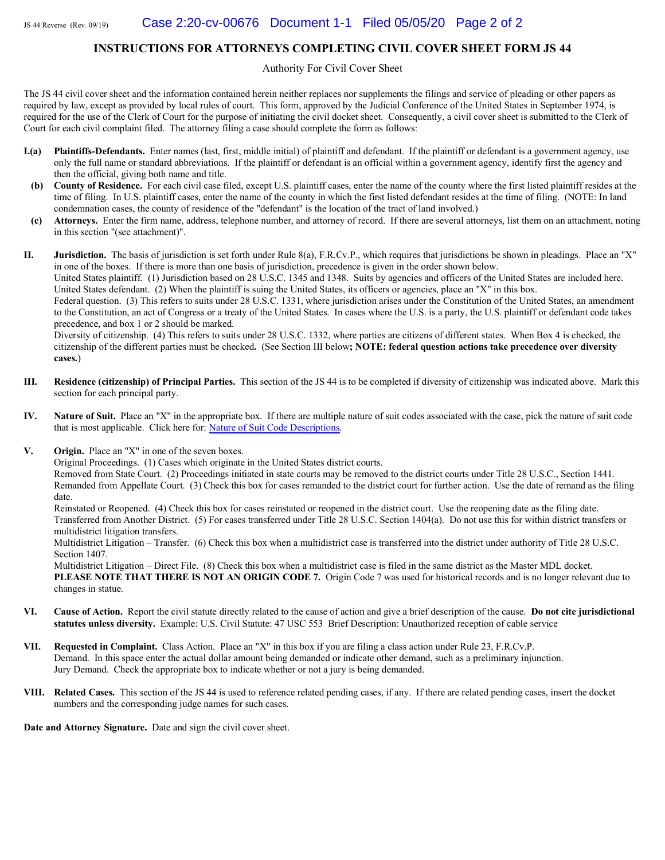#### INSTRUCTIONS FOR ATTORNEYS COMPLETING CIVIL COVER SHEET FORM JS 44

Authority For Civil Cover Sheet

The JS 44 civil cover sheet and the information contained herein neither replaces nor supplements the filings and service of pleading or other papers as required by law, except as provided by local rules of court. This form, approved by the Judicial Conference of the United States in September 1974, is required for the use of the Clerk of Court for the purpose of initiating the civil docket sheet. Consequently, a civil cover sheet is submitted to the Clerk of Court for each civil complaint filed. The attorney filing a case should complete the form as follows:

- **I.(a)** Plaintiffs-Defendants. Enter names (last, first, middle initial) of plaintiff and defendant. If the plaintiff or defendant is a government agency, use only the full name or standard abbreviations. If the plaintiff or defendant is an official within a government agency, identify first the agency and then the official, giving both name and title.
- (b) County of Residence. For each civil case filed, except U.S. plaintiff cases, enter the name of the county where the first listed plaintiff resides at the time of filing. In U.S. plaintiff cases, enter the name of the county in which the first listed defendant resides at the time of filing. (NOTE: In land condemnation cases, the county of residence of the "defendant" is the location of the tract of land involved.)
- (c) Attorneys. Enter the firm name, address, telephone number, and attorney of record. If there are several attorneys, list them on an attachment, noting in this section "(see attachment)".

**II.** Jurisdiction. The basis of jurisdiction is set forth under Rule 8(a), F.R.Cv.P., which requires that jurisdictions be shown in pleadings. Place an "X" in one of the boxes. If there is more than one basis of jurisdiction, precedence is given in the order shown below.

United States plaintiff. (1) Jurisdiction based on 28 U.S.C. 1345 and 1348. Suits by agencies and officers of the United States are included here. United States defendant. (2) When the plaintiff is suing the United States, its officers or agencies, place an "X" in this box.

Federal question. (3) This refers to suits under 28 U.S.C. 1331, where jurisdiction arises under the Constitution of the United States, an amendment to the Constitution, an act of Congress or a treaty of the United States. In cases where the U.S. is a party, the U.S. plaintiff or defendant code takes precedence, and box 1 or 2 should be marked.

Diversity of citizenship. (4) This refers to suits under 28 U.S.C. 1332, where parties are citizens of different states. When Box 4 is checked, the citizenship of the different parties must be checked. (See Section III below; NOTE: federal question actions take precedence over diversity cases.)

- III. Residence (citizenship) of Principal Parties. This section of the JS 44 is to be completed if diversity of citizenship was indicated above. Mark this section for each principal party.
- IV. Nature of Suit. Place an "X" in the appropriate box. If there are multiple nature of suit codes associated with the case, pick the nature of suit code that is most applicable. Click here for: Nature of Suit Code Descriptions.
- V. Origin. Place an "X" in one of the seven boxes.

Original Proceedings. (1) Cases which originate in the United States district courts.

Removed from State Court. (2) Proceedings initiated in state courts may be removed to the district courts under Title 28 U.S.C., Section 1441. Remanded from Appellate Court. (3) Check this box for cases remanded to the district court for further action. Use the date of remand as the filing date.

Reinstated or Reopened. (4) Check this box for cases reinstated or reopened in the district court. Use the reopening date as the filing date. Transferred from Another District. (5) For cases transferred under Title 28 U.S.C. Section 1404(a). Do not use this for within district transfers or multidistrict litigation transfers.

Multidistrict Litigation – Transfer. (6) Check this box when a multidistrict case is transferred into the district under authority of Title 28 U.S.C. Section  $1407$ .

Multidistrict Litigation – Direct File. (8) Check this box when a multidistrict case is filed in the same district as the Master MDL docket. PLEASE NOTE THAT THERE IS NOT AN ORIGIN CODE 7. Origin Code 7 was used for historical records and is no longer relevant due to changes in statue.

- VI. Cause of Action. Report the civil statute directly related to the cause of action and give a brief description of the cause. Do not cite jurisdictional statutes unless diversity. Example: U.S. Civil Statute: 47 USC 553 Brief Description: Unauthorized reception of cable service
- VII. Requested in Complaint. Class Action. Place an "X" in this box if you are filing a class action under Rule 23, F.R.Cv.P. Demand. In this space enter the actual dollar amount being demanded or indicate other demand, such as a preliminary injunction. Jury Demand. Check the appropriate box to indicate whether or not a jury is being demanded.
- VIII. Related Cases. This section of the JS 44 is used to reference related pending cases, if any. If there are related pending cases, insert the docket numbers and the corresponding judge names for such cases.

Date and Attorney Signature. Date and sign the civil cover sheet.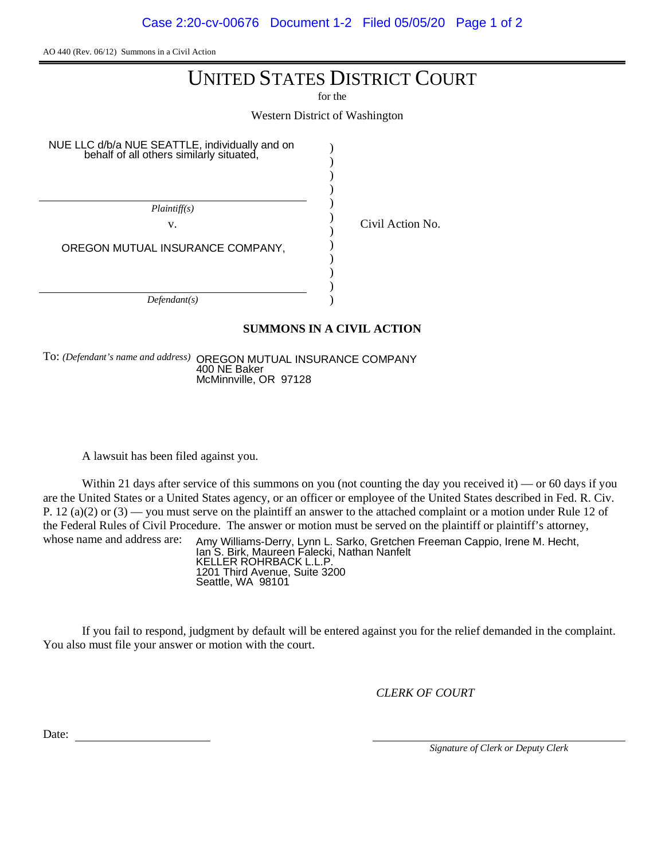AO 440 (Rev. 06/12) Summons in a Civil Action

# UNITED STATES DISTRICT COURT

for the

Western District of Washington

) ) ) ) ) ) ) ) ) ) ) )

NUE LLC d/b/a NUE SEATTLE, individually and on behalf of all others similarly situated,

*Plaintiff(s)* v. Civil Action No. OREGON MUTUAL INSURANCE COMPANY,

*Defendant(s)*

### **SUMMONS IN A CIVIL ACTION**

To: *(Defendant's name and address)* OREGON MUTUAL INSURANCE COMPANY 400 NE Baker McMinnville, OR 97128

A lawsuit has been filed against you.

Within 21 days after service of this summons on you (not counting the day you received it) — or 60 days if you are the United States or a United States agency, or an officer or employee of the United States described in Fed. R. Civ. P. 12 (a)(2) or (3) — you must serve on the plaintiff an answer to the attached complaint or a motion under Rule 12 of the Federal Rules of Civil Procedure. The answer or motion must be served on the plaintiff or plaintiff's attorney, whose name and address are:

Amy Williams-Derry, Lynn L. Sarko, Gretchen Freeman Cappio, Irene M. Hecht, Ian S. Birk, Maureen Falecki, Nathan Nanfelt KELLER ROHRBACK L.L.P. 1201 Third Avenue, Suite 3200 Seattle, WA 98101

If you fail to respond, judgment by default will be entered against you for the relief demanded in the complaint. You also must file your answer or motion with the court.

*CLERK OF COURT*

Date:

*Signature of Clerk or Deputy Clerk*